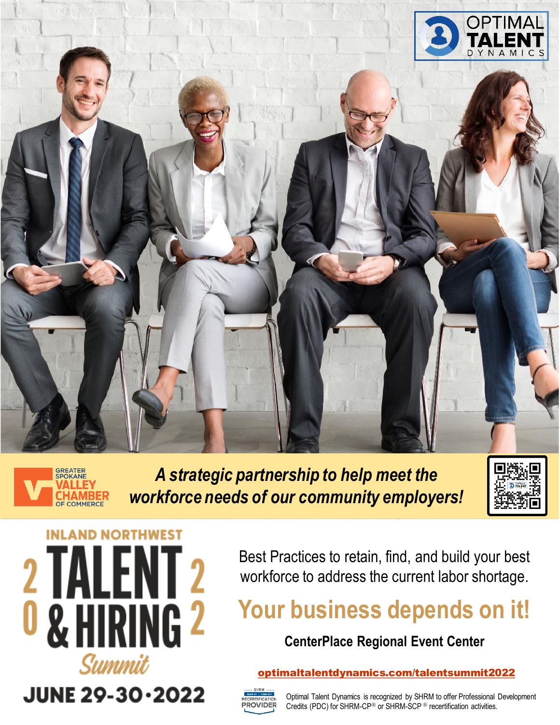



*A strategic partnership to help meet the workforce needs of our community employers!*





Best Practices to retain, find, and build your best workforce to address the current labor shortage.

### **Your business depends on it!**

### **CenterPlace Regional Event Center**

#### [optimaltalentdynamics.com/talentsummit2022](https://www.optimaltalentdynamics.com/talentsummit2022)



Optimal Talent Dynamics is recognized by SHRM to offer Professional Development Credits (PDC) for SHRM-CP<sup>®</sup> or SHRM-SCP<sup>®</sup> recertification activities.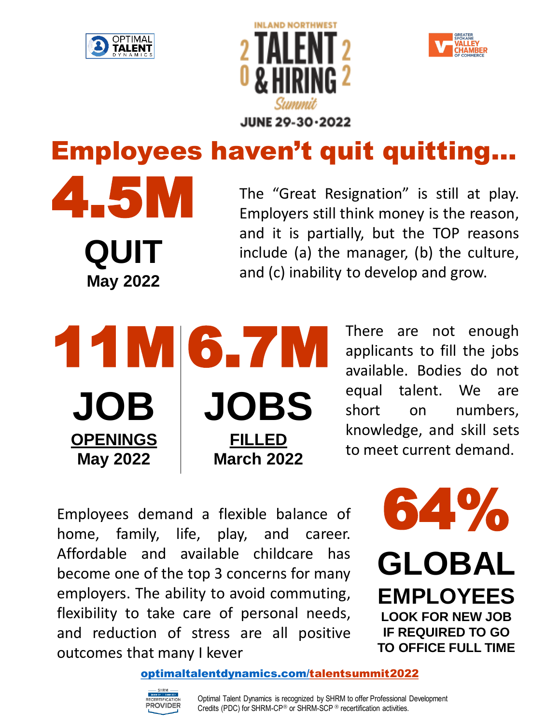

4.5M

**QUIT**

**May 2022**





# Employees haven't quit quitting…

The "Great Resignation" is still at play. Employers still think money is the reason, and it is partially, but the TOP reasons include (a) the manager, (b) the culture, and (c) inability to develop and grow.

11M 6.7M **JOB OPENINGS May 2022 JOBS FILLED March 2022**

There are not enough applicants to fill the jobs available. Bodies do not equal talent. We are short on numbers, knowledge, and skill sets to meet current demand.

Employees demand a flexible balance of home, family, life, play, and career. Affordable and available childcare has become one of the top 3 concerns for many employers. The ability to avoid commuting, flexibility to take care of personal needs, and reduction of stress are all positive outcomes that many I kever



[optimaltalentdynamics.com/talentsummit2022](https://www.optimaltalentdynamics.com/talentsummit2022)

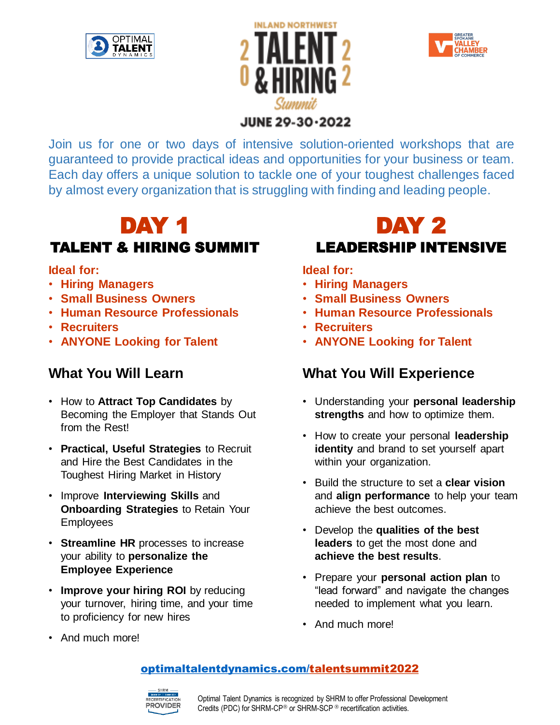





### JUNE 29-30-2022

Join us for one or two days of intensive solution-oriented workshops that are guaranteed to provide practical ideas and opportunities for your business or team. Each day offers a unique solution to tackle one of your toughest challenges faced by almost every organization that is struggling with finding and leading people.

### DAY 1 TALENT & HIRING SUMMIT

### **Ideal for:**

- **Hiring Managers**
- **Small Business Owners**
- **Human Resource Professionals**
- **Recruiters**
- **ANYONE Looking for Talent**

### **What You Will Learn**

- How to **Attract Top Candidates** by Becoming the Employer that Stands Out from the Rest!
- **Practical, Useful Strategies** to Recruit and Hire the Best Candidates in the Toughest Hiring Market in History
- Improve **Interviewing Skills** and **Onboarding Strategies** to Retain Your Employees
- **Streamline HR** processes to increase your ability to **personalize the Employee Experience**
- **Improve your hiring ROI** by reducing your turnover, hiring time, and your time to proficiency for new hires

### DAY 2 LEADERSHIP INTENSIVE

### **Ideal for:**

- **Hiring Managers**
- **Small Business Owners**
- **Human Resource Professionals**
- **Recruiters**
- **ANYONE Looking for Talent**

### **What You Will Experience**

- Understanding your **personal leadership strengths** and how to optimize them.
- How to create your personal **leadership identity** and brand to set yourself apart within your organization.
- Build the structure to set a **clear vision**  and **align performance** to help your team achieve the best outcomes.
- Develop the **qualities of the best leaders** to get the most done and **achieve the best results**.
- Prepare your **personal action plan** to "lead forward" and navigate the changes needed to implement what you learn.
- And much more!

• And much more!

### [optimaltalentdynamics.com/talentsummit2022](https://www.optimaltalentdynamics.com/talentsummit2022)

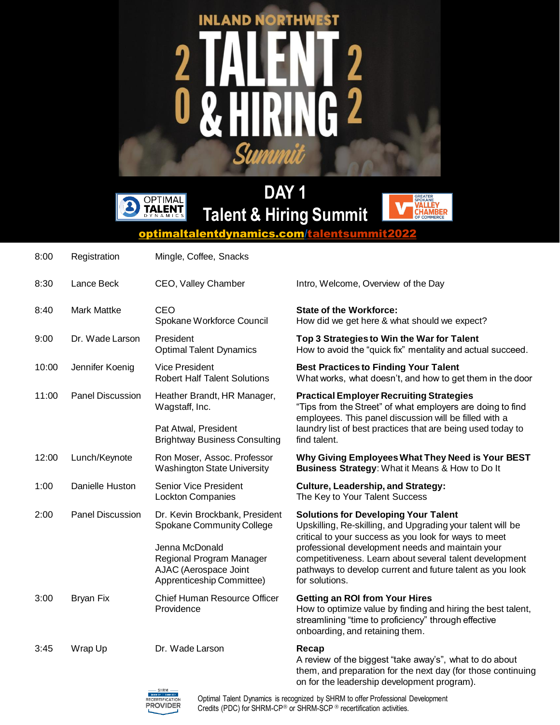# **INLAND NORTHWEST**  $\overline{\mathbf{2}}$  $\overline{\mathsf{I}}$ Ĥ Summit



**DAY 1 Talent & Hiring Summit**



[optimaltalentdynamics.com/talentsummit2022](https://www.optimaltalentdynamics.com/talentsummit2022)

| 8:00  | Registration       | Mingle, Coffee, Snacks                                                                           |                                                                                                                                                                                                                                                                                                                                                                  |
|-------|--------------------|--------------------------------------------------------------------------------------------------|------------------------------------------------------------------------------------------------------------------------------------------------------------------------------------------------------------------------------------------------------------------------------------------------------------------------------------------------------------------|
| 8:30  | Lance Beck         | CEO, Valley Chamber                                                                              | Intro, Welcome, Overview of the Day                                                                                                                                                                                                                                                                                                                              |
| 8:40  | <b>Mark Mattke</b> | <b>CEO</b><br>Spokane Workforce Council                                                          | <b>State of the Workforce:</b><br>How did we get here & what should we expect?                                                                                                                                                                                                                                                                                   |
| 9:00  | Dr. Wade Larson    | President<br><b>Optimal Talent Dynamics</b>                                                      | Top 3 Strategies to Win the War for Talent<br>How to avoid the "quick fix" mentality and actual succeed.                                                                                                                                                                                                                                                         |
| 10:00 | Jennifer Koenig    | <b>Vice President</b><br><b>Robert Half Talent Solutions</b>                                     | <b>Best Practices to Finding Your Talent</b><br>What works, what doesn't, and how to get them in the door                                                                                                                                                                                                                                                        |
| 11:00 | Panel Discussion   | Heather Brandt, HR Manager,<br>Wagstaff, Inc.                                                    | <b>Practical Employer Recruiting Strategies</b><br>"Tips from the Street" of what employers are doing to find<br>employees. This panel discussion will be filled with a<br>laundry list of best practices that are being used today to<br>find talent.                                                                                                           |
|       |                    | Pat Atwal, President<br><b>Brightway Business Consulting</b>                                     |                                                                                                                                                                                                                                                                                                                                                                  |
| 12:00 | Lunch/Keynote      | Ron Moser, Assoc. Professor<br><b>Washington State University</b>                                | Why Giving Employees What They Need is Your BEST<br>Business Strategy: What it Means & How to Do It                                                                                                                                                                                                                                                              |
| 1:00  | Danielle Huston    | <b>Senior Vice President</b><br><b>Lockton Companies</b>                                         | <b>Culture, Leadership, and Strategy:</b><br>The Key to Your Talent Success                                                                                                                                                                                                                                                                                      |
| 2:00  | Panel Discussion   | Dr. Kevin Brockbank, President<br>Spokane Community College                                      | <b>Solutions for Developing Your Talent</b><br>Upskilling, Re-skilling, and Upgrading your talent will be<br>critical to your success as you look for ways to meet<br>professional development needs and maintain your<br>competitiveness. Learn about several talent development<br>pathways to develop current and future talent as you look<br>for solutions. |
|       |                    | Jenna McDonald<br>Regional Program Manager<br>AJAC (Aerospace Joint<br>Apprenticeship Committee) |                                                                                                                                                                                                                                                                                                                                                                  |
| 3:00  | <b>Bryan Fix</b>   | <b>Chief Human Resource Officer</b><br>Providence                                                | <b>Getting an ROI from Your Hires</b><br>How to optimize value by finding and hiring the best talent,<br>streamlining "time to proficiency" through effective<br>onboarding, and retaining them.                                                                                                                                                                 |
| 3:45  | Wrap Up            | Dr. Wade Larson                                                                                  | Recap<br>A review of the biggest "take away's", what to do about<br>them, and preparation for the next day (for those continuing<br>on for the leadership development program).                                                                                                                                                                                  |



Optimal Talent Dynamics is recognized by SHRM to offer Professional Development Credits (PDC) for SHRM-CP<sup>®</sup> or SHRM-SCP<sup>®</sup> recertification activities.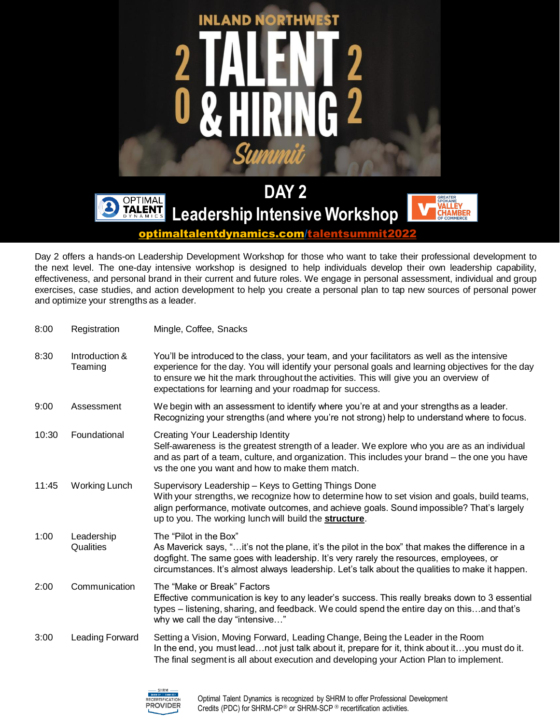

optimaltalentdynamics.com/talentsummit2

Day 2 offers a hands-on Leadership Development Workshop for those who want to take their professional development to the next level. The one-day intensive workshop is designed to help individuals develop their own leadership capability, effectiveness, and personal brand in their current and future roles. We engage in personal assessment, individual and group exercises, case studies, and action development to help you create a personal plan to tap new sources of personal power and optimize your strengths as a leader.

| 8:00  | Registration              | Mingle, Coffee, Snacks                                                                                                                                                                                                                                                                                                                                 |  |
|-------|---------------------------|--------------------------------------------------------------------------------------------------------------------------------------------------------------------------------------------------------------------------------------------------------------------------------------------------------------------------------------------------------|--|
| 8:30  | Introduction &<br>Teaming | You'll be introduced to the class, your team, and your facilitators as well as the intensive<br>experience for the day. You will identify your personal goals and learning objectives for the day<br>to ensure we hit the mark throughout the activities. This will give you an overview of<br>expectations for learning and your roadmap for success. |  |
| 9:00  | Assessment                | We begin with an assessment to identify where you're at and your strengths as a leader.<br>Recognizing your strengths (and where you're not strong) help to understand where to focus.                                                                                                                                                                 |  |
| 10:30 | Foundational              | Creating Your Leadership Identity<br>Self-awareness is the greatest strength of a leader. We explore who you are as an individual<br>and as part of a team, culture, and organization. This includes your brand - the one you have<br>vs the one you want and how to make them match.                                                                  |  |
| 11:45 | Working Lunch             | Supervisory Leadership - Keys to Getting Things Done<br>With your strengths, we recognize how to determine how to set vision and goals, build teams,<br>align performance, motivate outcomes, and achieve goals. Sound impossible? That's largely<br>up to you. The working lunch will build the structure.                                            |  |
| 1:00  | Leadership<br>Qualities   | The "Pilot in the Box"<br>As Maverick says, "it's not the plane, it's the pilot in the box" that makes the difference in a<br>dogfight. The same goes with leadership. It's very rarely the resources, employees, or<br>circumstances. It's almost always leadership. Let's talk about the qualities to make it happen.                                |  |
| 2:00  | Communication             | The "Make or Break" Factors<br>Effective communication is key to any leader's success. This really breaks down to 3 essential<br>types - listening, sharing, and feedback. We could spend the entire day on thisand that's<br>why we call the day "intensive"                                                                                          |  |
| 3:00  | Leading Forward           | Setting a Vision, Moving Forward, Leading Change, Being the Leader in the Room<br>In the end, you must leadnot just talk about it, prepare for it, think about ityou must do it.<br>The final segment is all about execution and developing your Action Plan to implement.                                                                             |  |

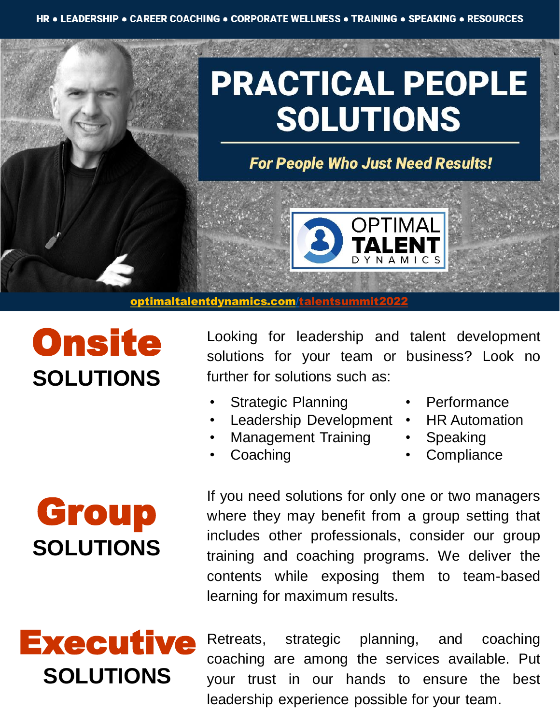# **PRACTICAL PEOPLE SOLUTIONS**

**For People Who Just Need Results!** 

OPTIMAL

#### [optimaltalentdynamics.com/talentsummit2022](https://www.optimaltalentdynamics.com/talentsummit2022)

### **Onsite SOLUTIONS**

Group

**SOLUTIONS**

Looking for leadership and talent development solutions for your team or business? Look no further for solutions such as:

- Strategic Planning
- Leadership Development
- Management Training
- **Coaching**
- **Performance**
- HR Automation
- **Speaking**
- **Compliance**

If you need solutions for only one or two managers where they may benefit from a group setting that includes other professionals, consider our group training and coaching programs. We deliver the contents while exposing them to team-based learning for maximum results.

## **Executive SOLUTIONS**

Retreats, strategic planning, and coaching coaching are among the services available. Put your trust in our hands to ensure the best leadership experience possible for your team.